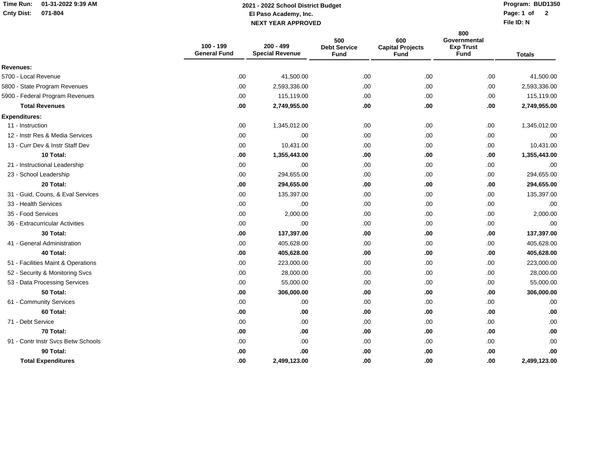## **Time Run: 01-31-2022 9:39 AMCnty Dist: 071-804**

## **El Paso Academy, Inc. Page: 1 of NEXT YEAR APPROVED2021 - 2022 School District Budget**

**Program: BUD1350**

**File ID: N**Page: 1 of 2

|                                    | 100 - 199<br><b>General Fund</b> | 200 - 499<br><b>Special Revenue</b> | 500<br><b>Debt Service</b><br><b>Fund</b> | 600<br><b>Capital Projects</b><br>Fund | 800<br>Governmental<br><b>Exp Trust</b><br><b>Fund</b> | <b>Totals</b> |
|------------------------------------|----------------------------------|-------------------------------------|-------------------------------------------|----------------------------------------|--------------------------------------------------------|---------------|
| Revenues:                          |                                  |                                     |                                           |                                        |                                                        |               |
| 5700 - Local Revenue               | .00                              | 41,500.00                           | .00.                                      | .00                                    | .00                                                    | 41,500.00     |
| 5800 - State Program Revenues      | .00                              | 2,593,336.00                        | .00                                       | .00.                                   | .00                                                    | 2,593,336.00  |
| 5900 - Federal Program Revenues    | .00                              | 115,119.00                          | .00                                       | .00                                    | .00                                                    | 115,119.00    |
| <b>Total Revenues</b>              | .00                              | 2,749,955.00                        | .00                                       | .00                                    | .00                                                    | 2,749,955.00  |
| <b>Expenditures:</b>               |                                  |                                     |                                           |                                        |                                                        |               |
| 11 - Instruction                   | .00                              | 1,345,012.00                        | .00.                                      | .00.                                   | .00                                                    | 1,345,012.00  |
| 12 - Instr Res & Media Services    | .00                              | .00                                 | .00                                       | .00                                    | .00                                                    | .00           |
| 13 - Curr Dev & Instr Staff Dev    | .00                              | 10,431.00                           | .00.                                      | .00.                                   | .00.                                                   | 10,431.00     |
| 10 Total:                          | .00                              | 1,355,443.00                        | .00                                       | .00                                    | .00                                                    | 1,355,443.00  |
| 21 - Instructional Leadership      | .00                              | .00                                 | .00                                       | .00                                    | .00                                                    | .00           |
| 23 - School Leadership             | .00                              | 294,655.00                          | .00                                       | .00                                    | .00                                                    | 294,655.00    |
| 20 Total:                          | .00                              | 294,655.00                          | .00                                       | .00                                    | .00                                                    | 294,655.00    |
| 31 - Guid, Couns, & Eval Services  | .00                              | 135,397.00                          | .00                                       | .00                                    | .00                                                    | 135,397.00    |
| 33 - Health Services               | .00                              | .00                                 | .00                                       | .00                                    | .00                                                    | .00           |
| 35 - Food Services                 | .00                              | 2,000.00                            | .00                                       | .00                                    | .00.                                                   | 2,000.00      |
| 36 - Extracurricular Activities    | .00                              | .00                                 | .00.                                      | .00.                                   | .00.                                                   | .00           |
| 30 Total:                          | .00                              | 137,397.00                          | .00                                       | .00                                    | .00                                                    | 137,397.00    |
| 41 - General Administration        | .00                              | 405,628.00                          | .00.                                      | .00                                    | .00.                                                   | 405,628.00    |
| 40 Total:                          | .00                              | 405,628.00                          | .00                                       | .00                                    | .00                                                    | 405,628.00    |
| 51 - Facilities Maint & Operations | .00                              | 223,000.00                          | .00                                       | .00.                                   | .00.                                                   | 223,000.00    |
| 52 - Security & Monitoring Svcs    | .00                              | 28,000.00                           | .00.                                      | .00                                    | .00                                                    | 28,000.00     |
| 53 - Data Processing Services      | .00                              | 55,000.00                           | .00                                       | .00                                    | .00                                                    | 55,000.00     |
| 50 Total:                          | .00                              | 306,000.00                          | .00                                       | .00                                    | .00                                                    | 306,000.00    |
| 61 - Community Services            | .00                              | .00                                 | .00                                       | .00                                    | .00                                                    | .00           |
| 60 Total:                          | .00                              | .00                                 | .00.                                      | .00                                    | .00                                                    | .00           |
| 71 - Debt Service                  | .00                              | .00                                 | .00                                       | .00                                    | .00.                                                   | .00           |
| 70 Total:                          | .00                              | .00                                 | .00                                       | .00                                    | .00                                                    | .00           |
| 91 - Contr Instr Svcs Betw Schools | .00                              | .00.                                | .00.                                      | .00                                    | .00.                                                   | .00           |
| 90 Total:                          | .00                              | .00                                 | .00                                       | .00                                    | .00                                                    | .00           |
| <b>Total Expenditures</b>          | .00                              | 2,499,123.00                        | .00                                       | .00                                    | .00                                                    | 2,499,123.00  |